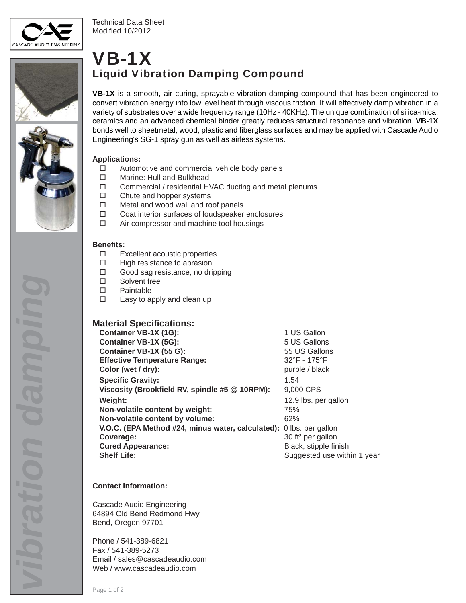

Technical Data Sheet Modified 10/2012



SGE-1 GRS



**VB-1X** is a smooth, air curing, sprayable vibration damping compound that has been engineered to convert vibration energy into low level heat through viscous friction. It will effectively damp vibration in a variety of substrates over a wide frequency range (10Hz - 40KHz). The unique combination of silica-mica, ceramics and an advanced chemical binder greatly reduces structural resonance and vibration. **VB-1X** bonds well to sheetmetal, wood, plastic and fiberglass surfaces and may be applied with Cascade Audio Engineering's SG-1 spray gun as well as airless systems.

### **Applications:**

- $\Box$  Automotive and commercial vehicle body panels
- □ Marine: Hull and Bulkhead
- Commercial / residential HVAC ducting and metal plenums
- □ Chute and hopper systems
- □ Metal and wood wall and roof panels
- Coat interior surfaces of loudspeaker enclosures
- □ Air compressor and machine tool housings

### **Benefi ts:**

- Excellent acoustic properties
- $\Box$  High resistance to abrasion
- □ Good sag resistance, no dripping
- □ Solvent free
- Paintable
- Easy to apply and clean up

## **Material Specifications:**

| Container VB-1X (1G):                                               | 1 US Gallon                       |
|---------------------------------------------------------------------|-----------------------------------|
| Container VB-1X (5G):                                               | 5 US Gallons                      |
| Container VB-1X (55 G):                                             | 55 US Gallons                     |
| <b>Effective Temperature Range:</b>                                 | $32^{\circ}$ F - 175 $^{\circ}$ F |
| Color (wet / dry):                                                  | purple / black                    |
| <b>Specific Gravity:</b>                                            | 1.54                              |
| Viscosity (Brookfield RV, spindle #5 @ 10RPM):                      | 9,000 CPS                         |
| Weight:                                                             | 12.9 lbs. per gallon              |
| Non-volatile content by weight:                                     | 75%                               |
| Non-volatile content by volume:                                     | 62%                               |
| V.O.C. (EPA Method #24, minus water, calculated): 0 lbs. per gallon |                                   |
| Coverage:                                                           | 30 ft <sup>2</sup> per gallon     |
| <b>Cured Appearance:</b>                                            | Black, stipple finish             |
| <b>Shelf Life:</b>                                                  | Suggested use within 1 year       |

## **Contact Information:**

Cascade Audio Engineering 64894 Old Bend Redmond Hwy. Bend, Oregon 97701

Phone / 541-389-6821 Fax / 541-389-5273 Email / sales@cascadeaudio.com Web / www.cascadeaudio.com